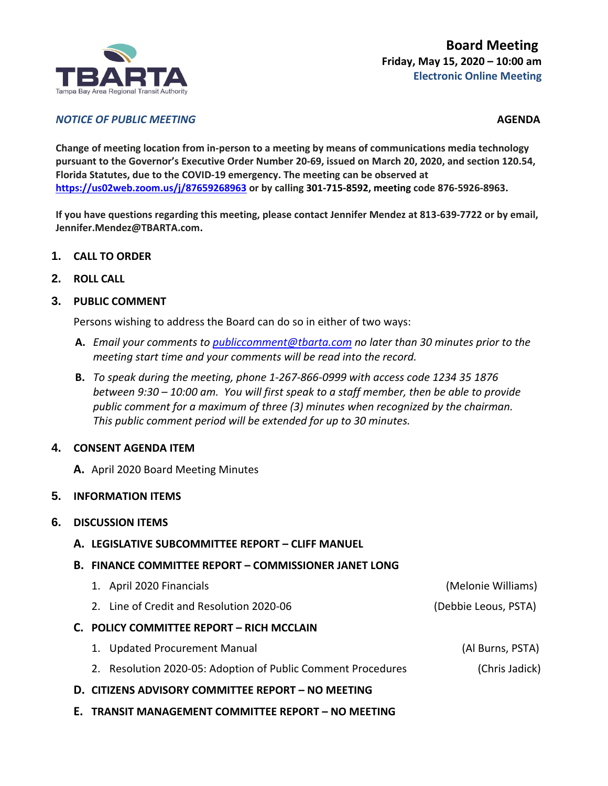

## *NOTICE OF PUBLIC MEETING AGENDA*

**Change of meeting location from in-person to a meeting by means of communications media technology pursuant to the Governor's Executive Order Number 20-69, issued on March 20, 2020, and section 120.54, Florida Statutes, due to the COVID-19 emergency. The meeting can be observed at <https://us02web.zoom.us/j/87659268963> or by calling 301-715-8592, meeting code 876-5926-8963.**

**If you have questions regarding this meeting, please contact Jennifer Mendez at 813-639-7722 or by email, Jennifer.Mendez@TBARTA.com.**

- **1. CALL TO ORDER**
- **2. ROLL CALL**

## **3. PUBLIC COMMENT**

Persons wishing to address the Board can do so in either of two ways:

- **A.** *Email your comments to [publiccomment@tbarta.com](mailto:publiccomment@tbarta.com) no later than 30 minutes prior to the meeting start time and your comments will be read into the record.*
- **B.** *To speak during the meeting, phone 1-267-866-0999 with access code 1234 35 1876 between 9:30 – 10:00 am. You will first speak to a staff member, then be able to provide public comment for a maximum of three (3) minutes when recognized by the chairman. This public comment period will be extended for up to 30 minutes.*

## **4. CONSENT AGENDA ITEM**

**A.** April 2020 Board Meeting Minutes

## **5. INFORMATION ITEMS**

## **6. DISCUSSION ITEMS**

**A. LEGISLATIVE SUBCOMMITTEE REPORT – CLIFF MANUEL**

## **B. FINANCE COMMITTEE REPORT – COMMISSIONER JANET LONG**

| 1. April 2020 Financials                                     | (Melonie Williams)   |
|--------------------------------------------------------------|----------------------|
| 2. Line of Credit and Resolution 2020-06                     | (Debbie Leous, PSTA) |
| C. POLICY COMMITTEE REPORT - RICH MCCLAIN                    |                      |
| 1. Updated Procurement Manual                                | (Al Burns, PSTA)     |
| 2. Resolution 2020-05: Adoption of Public Comment Procedures | (Chris Jadick)       |
|                                                              |                      |

- **D. CITIZENS ADVISORY COMMITTEE REPORT – NO MEETING**
- **E. TRANSIT MANAGEMENT COMMITTEE REPORT – NO MEETING**